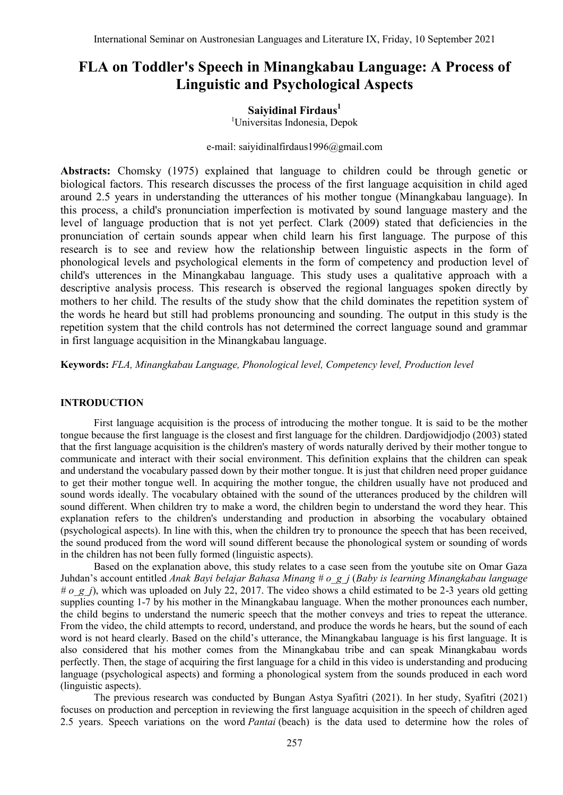# **FLA on Toddler's Speech in Minangkabau Language: A Process of Linguistic and Psychological Aspects**

# **Saiyidinal Firdaus<sup>1</sup>**

<sup>1</sup>Universitas Indonesia, Depok

# [e-mail: saiyidinalfirdaus1996@gmail.com](mailto:e-mail:%20saiyidinalfirdaus1996@gmail.com)

**Abstracts:** Chomsky (1975) explained that language to children could be through genetic or biological factors. This research discusses the process of the first language acquisition in child aged around 2.5 years in understanding the utterances of his mother tongue (Minangkabau language). In this process, a child's pronunciation imperfection is motivated by sound language mastery and the level of language production that is not yet perfect. Clark (2009) stated that deficiencies in the pronunciation of certain sounds appear when child learn his first language. The purpose of this research is to see and review how the relationship between linguistic aspects in the form of phonological levels and psychological elements in the form of competency and production level of child's utterences in the Minangkabau language. This study uses a qualitative approach with a descriptive analysis process. This research is observed the regional languages spoken directly by mothers to her child. The results of the study show that the child dominates the repetition system of the words he heard but still had problems pronouncing and sounding. The output in this study is the repetition system that the child controls has not determined the correct language sound and grammar in first language acquisition in the Minangkabau language.

**Keywords:** *FLA, Minangkabau Language, Phonological level, Competency level, Production level*

#### **INTRODUCTION**

First language acquisition is the process of introducing the mother tongue. It is said to be the mother tongue because the first language is the closest and first language for the children. Dardjowidjodjo (2003) stated that the first language acquisition is the children's mastery of words naturally derived by their mother tongue to communicate and interact with their social environment. This definition explains that the children can speak and understand the vocabulary passed down by their mother tongue. It is just that children need proper guidance to get their mother tongue well. In acquiring the mother tongue, the children usually have not produced and sound words ideally. The vocabulary obtained with the sound of the utterances produced by the children will sound different. When children try to make a word, the children begin to understand the word they hear. This explanation refers to the children's understanding and production in absorbing the vocabulary obtained (psychological aspects). In line with this, when the children try to pronounce the speech that has been received, the sound produced from the word will sound different because the phonological system or sounding of words in the children has not been fully formed (linguistic aspects).

Based on the explanation above, this study relates to a case seen from the youtube site on Omar Gaza Juhdan's account entitled *Anak Bayi belajar Bahasa Minang # o\_g\_j* (*Baby is learning Minangkabau language # o\_g\_j*), which was uploaded on July 22, 2017. The video shows a child estimated to be 2-3 years old getting supplies counting 1-7 by his mother in the Minangkabau language. When the mother pronounces each number, the child begins to understand the numeric speech that the mother conveys and tries to repeat the utterance. From the video, the child attempts to record, understand, and produce the words he hears, but the sound of each word is not heard clearly. Based on the child's utterance, the Minangkabau language is his first language. It is also considered that his mother comes from the Minangkabau tribe and can speak Minangkabau words perfectly. Then, the stage of acquiring the first language for a child in this video is understanding and producing language (psychological aspects) and forming a phonological system from the sounds produced in each word (linguistic aspects).

The previous research was conducted by Bungan Astya Syafitri (2021). In her study, Syafitri (2021) focuses on production and perception in reviewing the first language acquisition in the speech of children aged 2.5 years. Speech variations on the word *Pantai* (beach) is the data used to determine how the roles of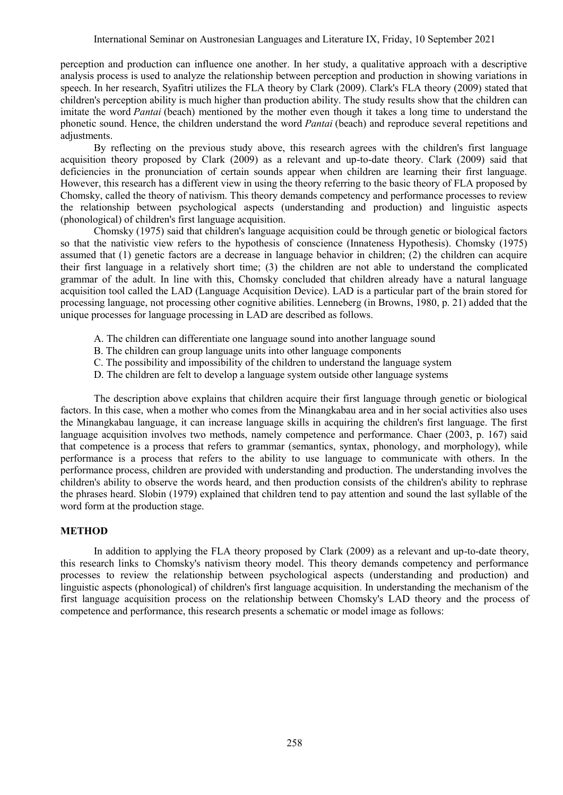perception and production can influence one another. In her study, a qualitative approach with a descriptive analysis process is used to analyze the relationship between perception and production in showing variations in speech. In her research, Syafitri utilizes the FLA theory by Clark (2009). Clark's FLA theory (2009) stated that children's perception ability is much higher than production ability. The study results show that the children can imitate the word *Pantai* (beach) mentioned by the mother even though it takes a long time to understand the phonetic sound. Hence, the children understand the word *Pantai* (beach) and reproduce several repetitions and adjustments.

By reflecting on the previous study above, this research agrees with the children's first language acquisition theory proposed by Clark (2009) as a relevant and up-to-date theory. Clark (2009) said that deficiencies in the pronunciation of certain sounds appear when children are learning their first language. However, this research has a different view in using the theory referring to the basic theory of FLA proposed by Chomsky, called the theory of nativism. This theory demands competency and performance processes to review the relationship between psychological aspects (understanding and production) and linguistic aspects (phonological) of children's first language acquisition.

Chomsky (1975) said that children's language acquisition could be through genetic or biological factors so that the nativistic view refers to the hypothesis of conscience (Innateness Hypothesis). Chomsky (1975) assumed that (1) genetic factors are a decrease in language behavior in children; (2) the children can acquire their first language in a relatively short time; (3) the children are not able to understand the complicated grammar of the adult. In line with this, Chomsky concluded that children already have a natural language acquisition tool called the LAD (Language Acquisition Device). LAD is a particular part of the brain stored for processing language, not processing other cognitive abilities. Lenneberg (in Browns, 1980, p. 21) added that the unique processes for language processing in LAD are described as follows.

- A. The children can differentiate one language sound into another language sound
- B. The children can group language units into other language components
- C. The possibility and impossibility of the children to understand the language system
- D. The children are felt to develop a language system outside other language systems

The description above explains that children acquire their first language through genetic or biological factors. In this case, when a mother who comes from the Minangkabau area and in her social activities also uses the Minangkabau language, it can increase language skills in acquiring the children's first language. The first language acquisition involves two methods, namely competence and performance. Chaer (2003, p. 167) said that competence is a process that refers to grammar (semantics, syntax, phonology, and morphology), while performance is a process that refers to the ability to use language to communicate with others. In the performance process, children are provided with understanding and production. The understanding involves the children's ability to observe the words heard, and then production consists of the children's ability to rephrase the phrases heard. Slobin (1979) explained that children tend to pay attention and sound the last syllable of the word form at the production stage.

# **METHOD**

In addition to applying the FLA theory proposed by Clark (2009) as a relevant and up-to-date theory, this research links to Chomsky's nativism theory model. This theory demands competency and performance processes to review the relationship between psychological aspects (understanding and production) and linguistic aspects (phonological) of children's first language acquisition. In understanding the mechanism of the first language acquisition process on the relationship between Chomsky's LAD theory and the process of competence and performance, this research presents a schematic or model image as follows: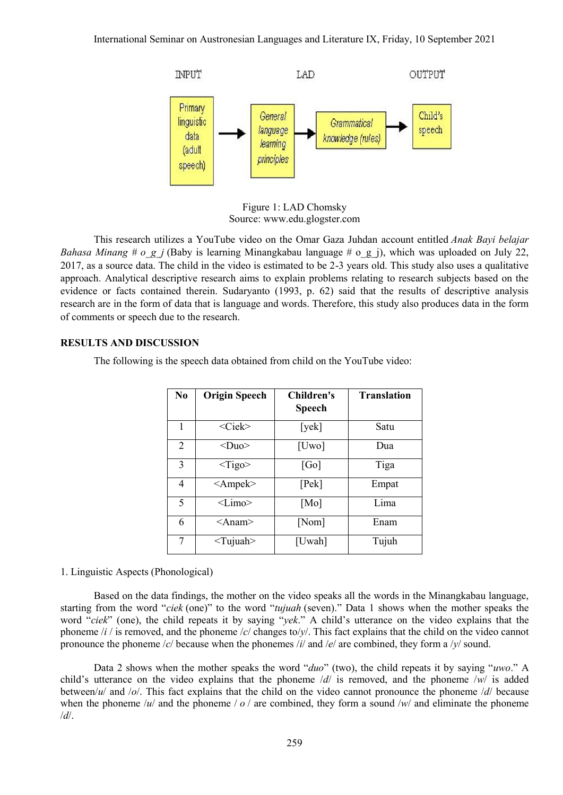

Figure 1: LAD Chomsky Source: [www.edu.glogster.com](http://www.edu.glogster.com/)

This research utilizes a YouTube video on the Omar Gaza Juhdan account entitled *Anak Bayi belajar Bahasa Minang # o\_g\_j* (Baby is learning Minangkabau language # o\_g\_j), which was uploaded on July 22, 2017, as a source data. The child in the video is estimated to be 2-3 years old. This study also uses a qualitative approach. Analytical descriptive research aims to explain problems relating to research subjects based on the evidence or facts contained therein. Sudaryanto (1993, p. 62) said that the results of descriptive analysis research are in the form of data that is language and words. Therefore, this study also produces data in the form of comments or speech due to the research.

### **RESULTS AND DISCUSSION**

The following is the speech data obtained from child on the YouTube video:

| No | <b>Origin Speech</b> | Children's<br>Speech | <b>Translation</b> |
|----|----------------------|----------------------|--------------------|
| 1  | $<$ Ciek $>$         | [yek]                | Satu               |
| 2  | $<$ Duo $>$          | [Uwo]                | Dua                |
| 3  | $<$ Tigo>            | [Go]                 | Tiga               |
| 4  | $\leq$ Ampek $>$     | [Pek]                | Empat              |
| 5  | $<$ Limo $>$         | [Mo]                 | Lima               |
| 6  | $<$ Anam $>$         | [Nom]                | Enam               |
| 7  | $<$ Tujuah $>$       | [Uwah]               | Tujuh              |

#### 1. Linguistic Aspects (Phonological)

Based on the data findings, the mother on the video speaks all the words in the Minangkabau language, starting from the word "*ciek* (one)" to the word "*tujuah* (seven)." Data 1 shows when the mother speaks the word "*ciek*" (one), the child repeats it by saying "*yek*." A child's utterance on the video explains that the phoneme /*i* / is removed, and the phoneme /*c*/ changes to/*y*/. This fact explains that the child on the video cannot pronounce the phoneme /*c*/ because when the phonemes /*i*/ and /*e*/ are combined, they form a /*y*/ sound.

Data 2 shows when the mother speaks the word "*duo*" (two), the child repeats it by saying "*uwo*." A child's utterance on the video explains that the phoneme /*d*/ is removed, and the phoneme /*w*/ is added between/*u*/ and /*o*/. This fact explains that the child on the video cannot pronounce the phoneme /*d*/ because when the phoneme /*u*/ and the phoneme /*o* / are combined, they form a sound /*w*/ and eliminate the phoneme /*d*/.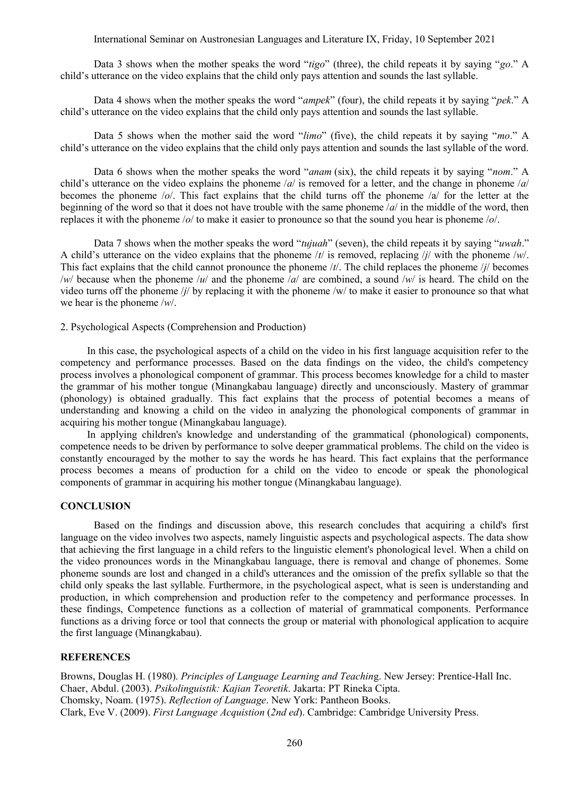International Seminar on Austronesian Languages and Literature IX, Friday, 10 September 2021

Data 3 shows when the mother speaks the word "*tigo*" (three), the child repeats it by saying "*go*." A child's utterance on the video explains that the child only pays attention and sounds the last syllable.

Data 4 shows when the mother speaks the word "*ampek*" (four), the child repeats it by saying "*pek*." A child's utterance on the video explains that the child only pays attention and sounds the last syllable.

Data 5 shows when the mother said the word "*limo*" (five), the child repeats it by saying "*mo*." A child's utterance on the video explains that the child only pays attention and sounds the last syllable of the word.

Data 6 shows when the mother speaks the word "*anam* (six), the child repeats it by saying "*nom*." A child's utterance on the video explains the phoneme /*a*/ is removed for a letter, and the change in phoneme /*a*/ becomes the phoneme /*o*/. This fact explains that the child turns off the phoneme /a/ for the letter at the beginning of the word so that it does not have trouble with the same phoneme /*a*/ in the middle of the word, then replaces it with the phoneme /*o*/ to make it easier to pronounce so that the sound you hear is phoneme /*o*/.

Data 7 shows when the mother speaks the word "*tujuah*" (seven), the child repeats it by saying "*uwah*." A child's utterance on the video explains that the phoneme /*t*/ is removed, replacing /*j*/ with the phoneme /*w*/. This fact explains that the child cannot pronounce the phoneme /*t*/. The child replaces the phoneme /*j*/ becomes /*w*/ because when the phoneme /*u*/ and the phoneme /*a*/ are combined, a sound /*w*/ is heard. The child on the video turns off the phoneme /*j*/ by replacing it with the phoneme /w/ to make it easier to pronounce so that what we hear is the phoneme /*w*/.

2. Psychological Aspects (Comprehension and Production)

In this case, the psychological aspects of a child on the video in his first language acquisition refer to the competency and performance processes. Based on the data findings on the video, the child's competency process involves a phonological component of grammar. This process becomes knowledge for a child to master the grammar of his mother tongue (Minangkabau language) directly and unconsciously. Mastery of grammar (phonology) is obtained gradually. This fact explains that the process of potential becomes a means of understanding and knowing a child on the video in analyzing the phonological components of grammar in acquiring his mother tongue (Minangkabau language).

In applying children's knowledge and understanding of the grammatical (phonological) components, competence needs to be driven by performance to solve deeper grammatical problems. The child on the video is constantly encouraged by the mother to say the words he has heard. This fact explains that the performance process becomes a means of production for a child on the video to encode or speak the phonological components of grammar in acquiring his mother tongue (Minangkabau language).

# **CONCLUSION**

Based on the findings and discussion above, this research concludes that acquiring a child's first language on the video involves two aspects, namely linguistic aspects and psychological aspects. The data show that achieving the first language in a child refers to the linguistic element's phonological level. When a child on the video pronounces words in the Minangkabau language, there is removal and change of phonemes. Some phoneme sounds are lost and changed in a child's utterances and the omission of the prefix syllable so that the child only speaks the last syllable. Furthermore, in the psychological aspect, what is seen is understanding and production, in which comprehension and production refer to the competency and performance processes. In these findings, Competence functions as a collection of material of grammatical components. Performance functions as a driving force or tool that connects the group or material with phonological application to acquire the first language (Minangkabau).

### **REFERENCES**

Browns, Douglas H. (1980). *Principles of Language Learning and Teachin*g. New Jersey: Prentice-Hall Inc. Chaer, Abdul. (2003). *Psikolinguistik: Kajian Teoretik*. Jakarta: PT Rineka Cipta. Chomsky, Noam. (1975). *Reflection of Language*. New York: Pantheon Books. Clark, Eve V. (2009). *First Language Acquistion* (*2nd ed*). Cambridge: Cambridge University Press.